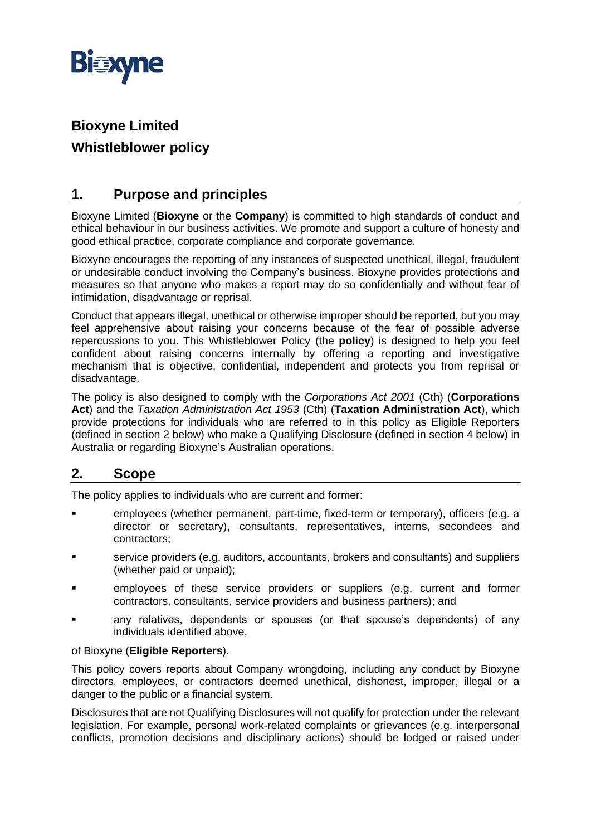

# **Bioxyne Limited Whistleblower policy**

# **1. Purpose and principles**

Bioxyne Limited (**Bioxyne** or the **Company**) is committed to high standards of conduct and ethical behaviour in our business activities. We promote and support a culture of honesty and good ethical practice, corporate compliance and corporate governance.

Bioxyne encourages the reporting of any instances of suspected unethical, illegal, fraudulent or undesirable conduct involving the Company's business. Bioxyne provides protections and measures so that anyone who makes a report may do so confidentially and without fear of intimidation, disadvantage or reprisal.

Conduct that appears illegal, unethical or otherwise improper should be reported, but you may feel apprehensive about raising your concerns because of the fear of possible adverse repercussions to you. This Whistleblower Policy (the **policy**) is designed to help you feel confident about raising concerns internally by offering a reporting and investigative mechanism that is objective, confidential, independent and protects you from reprisal or disadvantage.

The policy is also designed to comply with the *Corporations Act 2001* (Cth) (**Corporations Act**) and the *Taxation Administration Act 1953* (Cth) (**Taxation Administration Act**), which provide protections for individuals who are referred to in this policy as Eligible Reporters (defined in section [2](#page-0-0) below) who make a Qualifying Disclosure (defined in section [4](#page-1-0) below) in Australia or regarding Bioxyne's Australian operations.

# <span id="page-0-0"></span>**2. Scope**

The policy applies to individuals who are current and former:

- employees (whether permanent, part-time, fixed-term or temporary), officers (e.g. a director or secretary), consultants, representatives, interns, secondees and contractors;
- service providers (e.g. auditors, accountants, brokers and consultants) and suppliers (whether paid or unpaid);
- employees of these service providers or suppliers (e.g. current and former contractors, consultants, service providers and business partners); and
- any relatives, dependents or spouses (or that spouse's dependents) of any individuals identified above,

#### of Bioxyne (**Eligible Reporters**).

This policy covers reports about Company wrongdoing, including any conduct by Bioxyne directors, employees, or contractors deemed unethical, dishonest, improper, illegal or a danger to the public or a financial system.

Disclosures that are not Qualifying Disclosures will not qualify for protection under the relevant legislation. For example, personal work-related complaints or grievances (e.g. interpersonal conflicts, promotion decisions and disciplinary actions) should be lodged or raised under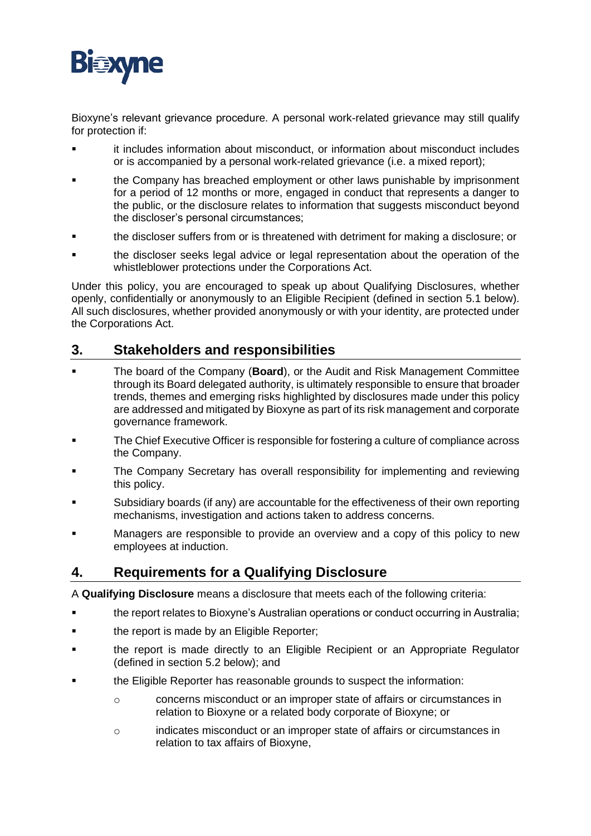

Bioxyne's relevant grievance procedure. A personal work-related grievance may still qualify for protection if:

- it includes information about misconduct, or information about misconduct includes or is accompanied by a personal work-related grievance (i.e. a mixed report);
- the Company has breached employment or other laws punishable by imprisonment for a period of 12 months or more, engaged in conduct that represents a danger to the public, or the disclosure relates to information that suggests misconduct beyond the discloser's personal circumstances;
- the discloser suffers from or is threatened with detriment for making a disclosure; or
- the discloser seeks legal advice or legal representation about the operation of the whistleblower protections under the Corporations Act.

Under this policy, you are encouraged to speak up about Qualifying Disclosures, whether openly, confidentially or anonymously to an Eligible Recipient (defined in section [5.1](#page-3-0) below). All such disclosures, whether provided anonymously or with your identity, are protected under the Corporations Act.

#### **3. Stakeholders and responsibilities**

- The board of the Company (**Board**), or the Audit and Risk Management Committee through its Board delegated authority, is ultimately responsible to ensure that broader trends, themes and emerging risks highlighted by disclosures made under this policy are addressed and mitigated by Bioxyne as part of its risk management and corporate governance framework.
- The Chief Executive Officer is responsible for fostering a culture of compliance across the Company.
- The Company Secretary has overall responsibility for implementing and reviewing this policy.
- Subsidiary boards (if any) are accountable for the effectiveness of their own reporting mechanisms, investigation and actions taken to address concerns.
- Managers are responsible to provide an overview and a copy of this policy to new employees at induction.

# <span id="page-1-0"></span>**4. Requirements for a Qualifying Disclosure**

A **Qualifying Disclosure** means a disclosure that meets each of the following criteria:

- **■** the report relates to Bioxyne's Australian operations or conduct occurring in Australia;
- the report is made by an Eligible Reporter;
- the report is made directly to an Eligible Recipient or an Appropriate Regulator (defined in section [5.2](#page-3-1) below); and
- the Eligible Reporter has reasonable grounds to suspect the information:
	- o concerns misconduct or an improper state of affairs or circumstances in relation to Bioxyne or a related body corporate of Bioxyne; or
	- o indicates misconduct or an improper state of affairs or circumstances in relation to tax affairs of Bioxyne,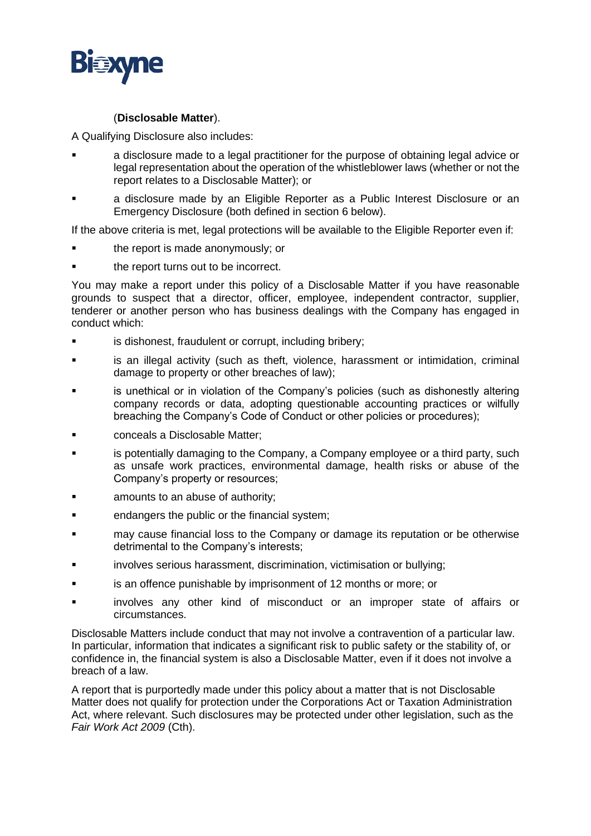

#### (**Disclosable Matter**).

A Qualifying Disclosure also includes:

- a disclosure made to a legal practitioner for the purpose of obtaining legal advice or legal representation about the operation of the whistleblower laws (whether or not the report relates to a Disclosable Matter); or
- **■** a disclosure made by an Eligible Reporter as a Public Interest Disclosure or an Emergency Disclosure (both defined in section [6](#page-3-2) below).

If the above criteria is met, legal protections will be available to the Eligible Reporter even if:

- the report is made anonymously; or
- the report turns out to be incorrect.

You may make a report under this policy of a Disclosable Matter if you have reasonable grounds to suspect that a director, officer, employee, independent contractor, supplier, tenderer or another person who has business dealings with the Company has engaged in conduct which:

- **■** is dishonest, fraudulent or corrupt, including bribery;
- is an illegal activity (such as theft, violence, harassment or intimidation, criminal damage to property or other breaches of law);
- is unethical or in violation of the Company's policies (such as dishonestly altering company records or data, adopting questionable accounting practices or wilfully breaching the Company's Code of Conduct or other policies or procedures);
- conceals a Disclosable Matter:
- is potentially damaging to the Company, a Company employee or a third party, such as unsafe work practices, environmental damage, health risks or abuse of the Company's property or resources;
- amounts to an abuse of authority;
- endangers the public or the financial system;
- may cause financial loss to the Company or damage its reputation or be otherwise detrimental to the Company's interests;
- involves serious harassment, discrimination, victimisation or bullying;
- is an offence punishable by imprisonment of 12 months or more; or
- involves any other kind of misconduct or an improper state of affairs or circumstances.

Disclosable Matters include conduct that may not involve a contravention of a particular law. In particular, information that indicates a significant risk to public safety or the stability of, or confidence in, the financial system is also a Disclosable Matter, even if it does not involve a breach of a law.

A report that is purportedly made under this policy about a matter that is not Disclosable Matter does not qualify for protection under the Corporations Act or Taxation Administration Act, where relevant. Such disclosures may be protected under other legislation, such as the *Fair Work Act 2009* (Cth).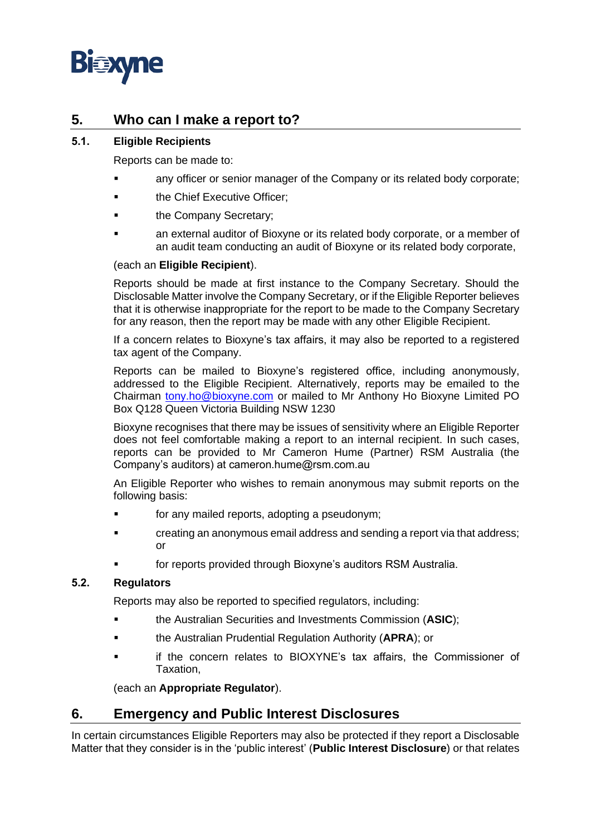

### **5. Who can I make a report to?**

#### <span id="page-3-0"></span>**5.1. Eligible Recipients**

Reports can be made to:

- any officer or senior manager of the Company or its related body corporate;
- **the Chief Executive Officer;**
- the Company Secretary;
- an external auditor of Bioxyne or its related body corporate, or a member of an audit team conducting an audit of Bioxyne or its related body corporate,

#### (each an **Eligible Recipient**).

Reports should be made at first instance to the Company Secretary. Should the Disclosable Matter involve the Company Secretary, or if the Eligible Reporter believes that it is otherwise inappropriate for the report to be made to the Company Secretary for any reason, then the report may be made with any other Eligible Recipient.

If a concern relates to Bioxyne's tax affairs, it may also be reported to a registered tax agent of the Company.

Reports can be mailed to Bioxyne's registered office, including anonymously, addressed to the Eligible Recipient. Alternatively, reports may be emailed to the Chairman [tony.ho@bioxyne.com](mailto:tony.ho@bioxyne.com) or mailed to Mr Anthony Ho Bioxyne Limited PO Box Q128 Queen Victoria Building NSW 1230

Bioxyne recognises that there may be issues of sensitivity where an Eligible Reporter does not feel comfortable making a report to an internal recipient. In such cases, reports can be provided to Mr Cameron Hume (Partner) RSM Australia (the Company's auditors) at cameron.hume@rsm.com.au

An Eligible Reporter who wishes to remain anonymous may submit reports on the following basis:

- for any mailed reports, adopting a pseudonym;
- **•** creating an anonymous email address and sending a report via that address; or
- for reports provided through Bioxyne's auditors RSM Australia.

#### <span id="page-3-1"></span>**5.2. Regulators**

Reports may also be reported to specified regulators, including:

- the Australian Securities and Investments Commission (**ASIC**);
- the Australian Prudential Regulation Authority (**APRA**); or
- if the concern relates to BIOXYNE's tax affairs, the Commissioner of Taxation,

(each an **Appropriate Regulator**).

#### <span id="page-3-2"></span>**6. Emergency and Public Interest Disclosures**

In certain circumstances Eligible Reporters may also be protected if they report a Disclosable Matter that they consider is in the 'public interest' (**Public Interest Disclosure**) or that relates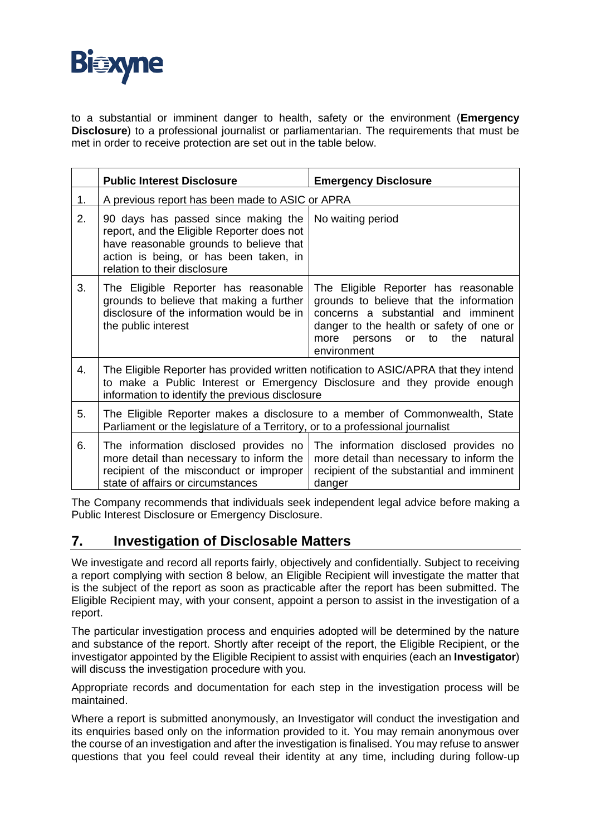

to a substantial or imminent danger to health, safety or the environment (**Emergency Disclosure**) to a professional journalist or parliamentarian. The requirements that must be met in order to receive protection are set out in the table below.

|    | <b>Public Interest Disclosure</b>                                                                                                                                                                                     | <b>Emergency Disclosure</b>                                                                                                                                                                                                     |
|----|-----------------------------------------------------------------------------------------------------------------------------------------------------------------------------------------------------------------------|---------------------------------------------------------------------------------------------------------------------------------------------------------------------------------------------------------------------------------|
| 1. | A previous report has been made to ASIC or APRA                                                                                                                                                                       |                                                                                                                                                                                                                                 |
| 2. | 90 days has passed since making the<br>report, and the Eligible Reporter does not<br>have reasonable grounds to believe that<br>action is being, or has been taken, in<br>relation to their disclosure                | No waiting period                                                                                                                                                                                                               |
| 3. | The Eligible Reporter has reasonable<br>grounds to believe that making a further<br>disclosure of the information would be in<br>the public interest                                                                  | The Eligible Reporter has reasonable<br>grounds to believe that the information<br>concerns a substantial and imminent<br>danger to the health or safety of one or<br>to the<br>natural<br>more<br>persons<br>or<br>environment |
| 4. | The Eligible Reporter has provided written notification to ASIC/APRA that they intend<br>to make a Public Interest or Emergency Disclosure and they provide enough<br>information to identify the previous disclosure |                                                                                                                                                                                                                                 |
| 5. | The Eligible Reporter makes a disclosure to a member of Commonwealth, State<br>Parliament or the legislature of a Territory, or to a professional journalist                                                          |                                                                                                                                                                                                                                 |
| 6. | The information disclosed provides no<br>more detail than necessary to inform the<br>recipient of the misconduct or improper<br>state of affairs or circumstances                                                     | The information disclosed provides no<br>more detail than necessary to inform the<br>recipient of the substantial and imminent<br>danger                                                                                        |

The Company recommends that individuals seek independent legal advice before making a Public Interest Disclosure or Emergency Disclosure.

#### **7. Investigation of Disclosable Matters**

We investigate and record all reports fairly, objectively and confidentially. Subject to receiving a report complying with section [8](#page-5-0) below, an Eligible Recipient will investigate the matter that is the subject of the report as soon as practicable after the report has been submitted. The Eligible Recipient may, with your consent, appoint a person to assist in the investigation of a report.

The particular investigation process and enquiries adopted will be determined by the nature and substance of the report. Shortly after receipt of the report, the Eligible Recipient, or the investigator appointed by the Eligible Recipient to assist with enquiries (each an **Investigator**) will discuss the investigation procedure with you.

Appropriate records and documentation for each step in the investigation process will be maintained.

Where a report is submitted anonymously, an Investigator will conduct the investigation and its enquiries based only on the information provided to it. You may remain anonymous over the course of an investigation and after the investigation is finalised. You may refuse to answer questions that you feel could reveal their identity at any time, including during follow-up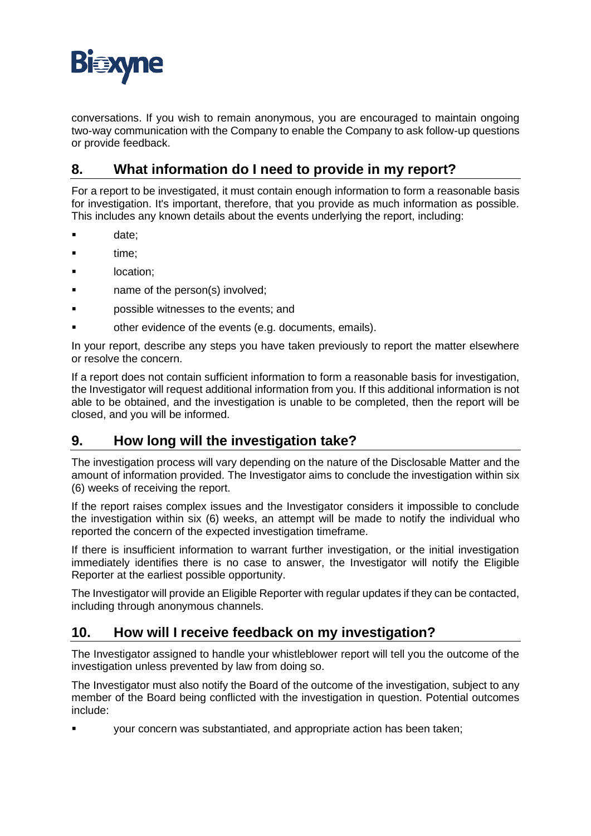

conversations. If you wish to remain anonymous, you are encouraged to maintain ongoing two-way communication with the Company to enable the Company to ask follow-up questions or provide feedback.

# <span id="page-5-0"></span>**8. What information do I need to provide in my report?**

For a report to be investigated, it must contain enough information to form a reasonable basis for investigation. It's important, therefore, that you provide as much information as possible. This includes any known details about the events underlying the report, including:

- date:
- time:
- location;
- name of the person(s) involved;
- possible witnesses to the events; and
- other evidence of the events (e.g. documents, emails).

In your report, describe any steps you have taken previously to report the matter elsewhere or resolve the concern.

If a report does not contain sufficient information to form a reasonable basis for investigation, the Investigator will request additional information from you. If this additional information is not able to be obtained, and the investigation is unable to be completed, then the report will be closed, and you will be informed.

# **9. How long will the investigation take?**

The investigation process will vary depending on the nature of the Disclosable Matter and the amount of information provided. The Investigator aims to conclude the investigation within six (6) weeks of receiving the report.

If the report raises complex issues and the Investigator considers it impossible to conclude the investigation within six (6) weeks, an attempt will be made to notify the individual who reported the concern of the expected investigation timeframe.

If there is insufficient information to warrant further investigation, or the initial investigation immediately identifies there is no case to answer, the Investigator will notify the Eligible Reporter at the earliest possible opportunity.

The Investigator will provide an Eligible Reporter with regular updates if they can be contacted, including through anonymous channels.

# **10. How will I receive feedback on my investigation?**

The Investigator assigned to handle your whistleblower report will tell you the outcome of the investigation unless prevented by law from doing so.

The Investigator must also notify the Board of the outcome of the investigation, subject to any member of the Board being conflicted with the investigation in question. Potential outcomes include:

your concern was substantiated, and appropriate action has been taken;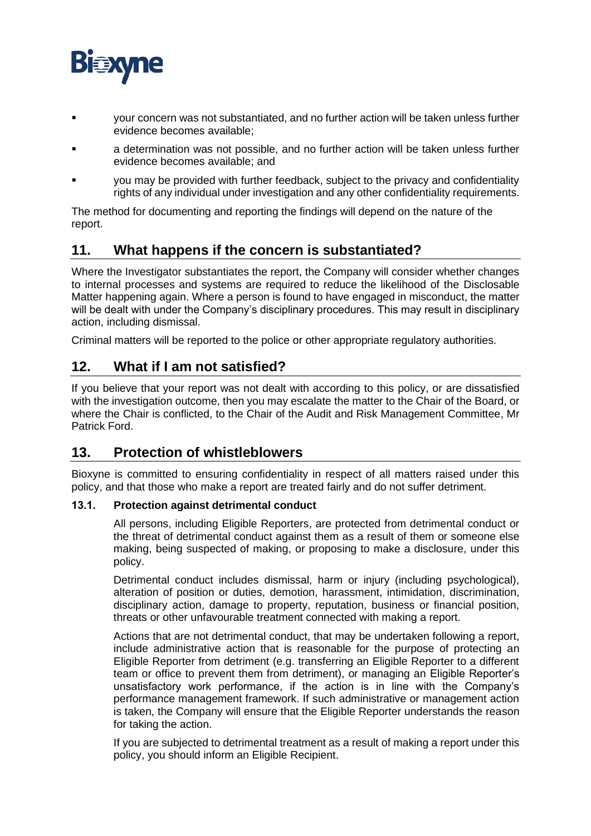

- your concern was not substantiated, and no further action will be taken unless further evidence becomes available;
- a determination was not possible, and no further action will be taken unless further evidence becomes available; and
- you may be provided with further feedback, subject to the privacy and confidentiality rights of any individual under investigation and any other confidentiality requirements.

The method for documenting and reporting the findings will depend on the nature of the report.

# **11. What happens if the concern is substantiated?**

Where the Investigator substantiates the report, the Company will consider whether changes to internal processes and systems are required to reduce the likelihood of the Disclosable Matter happening again. Where a person is found to have engaged in misconduct, the matter will be dealt with under the Company's disciplinary procedures. This may result in disciplinary action, including dismissal.

Criminal matters will be reported to the police or other appropriate regulatory authorities.

# **12. What if I am not satisfied?**

If you believe that your report was not dealt with according to this policy, or are dissatisfied with the investigation outcome, then you may escalate the matter to the Chair of the Board, or where the Chair is conflicted, to the Chair of the Audit and Risk Management Committee, Mr Patrick Ford.

#### **13. Protection of whistleblowers**

Bioxyne is committed to ensuring confidentiality in respect of all matters raised under this policy, and that those who make a report are treated fairly and do not suffer detriment.

#### **13.1. Protection against detrimental conduct**

All persons, including Eligible Reporters, are protected from detrimental conduct or the threat of detrimental conduct against them as a result of them or someone else making, being suspected of making, or proposing to make a disclosure, under this policy.

Detrimental conduct includes dismissal, harm or injury (including psychological), alteration of position or duties, demotion, harassment, intimidation, discrimination, disciplinary action, damage to property, reputation, business or financial position, threats or other unfavourable treatment connected with making a report.

Actions that are not detrimental conduct, that may be undertaken following a report, include administrative action that is reasonable for the purpose of protecting an Eligible Reporter from detriment (e.g. transferring an Eligible Reporter to a different team or office to prevent them from detriment), or managing an Eligible Reporter's unsatisfactory work performance, if the action is in line with the Company's performance management framework. If such administrative or management action is taken, the Company will ensure that the Eligible Reporter understands the reason for taking the action.

If you are subjected to detrimental treatment as a result of making a report under this policy, you should inform an Eligible Recipient.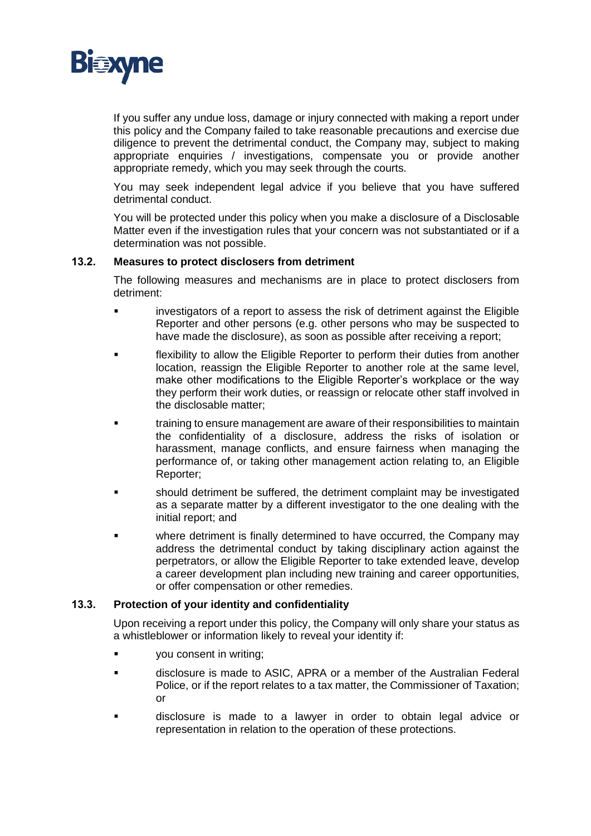

If you suffer any undue loss, damage or injury connected with making a report under this policy and the Company failed to take reasonable precautions and exercise due diligence to prevent the detrimental conduct, the Company may, subject to making appropriate enquiries / investigations, compensate you or provide another appropriate remedy, which you may seek through the courts.

You may seek independent legal advice if you believe that you have suffered detrimental conduct.

You will be protected under this policy when you make a disclosure of a Disclosable Matter even if the investigation rules that your concern was not substantiated or if a determination was not possible.

#### **13.2. Measures to protect disclosers from detriment**

The following measures and mechanisms are in place to protect disclosers from detriment:

- investigators of a report to assess the risk of detriment against the Eligible Reporter and other persons (e.g. other persons who may be suspected to have made the disclosure), as soon as possible after receiving a report;
- flexibility to allow the Eligible Reporter to perform their duties from another location, reassign the Eligible Reporter to another role at the same level, make other modifications to the Eligible Reporter's workplace or the way they perform their work duties, or reassign or relocate other staff involved in the disclosable matter;
- training to ensure management are aware of their responsibilities to maintain the confidentiality of a disclosure, address the risks of isolation or harassment, manage conflicts, and ensure fairness when managing the performance of, or taking other management action relating to, an Eligible Reporter;
- should detriment be suffered, the detriment complaint may be investigated as a separate matter by a different investigator to the one dealing with the initial report; and
- where detriment is finally determined to have occurred, the Company may address the detrimental conduct by taking disciplinary action against the perpetrators, or allow the Eligible Reporter to take extended leave, develop a career development plan including new training and career opportunities, or offer compensation or other remedies.

#### **13.3. Protection of your identity and confidentiality**

Upon receiving a report under this policy, the Company will only share your status as a whistleblower or information likely to reveal your identity if:

- you consent in writing;
- disclosure is made to ASIC, APRA or a member of the Australian Federal Police, or if the report relates to a tax matter, the Commissioner of Taxation; or
- disclosure is made to a lawyer in order to obtain legal advice or representation in relation to the operation of these protections.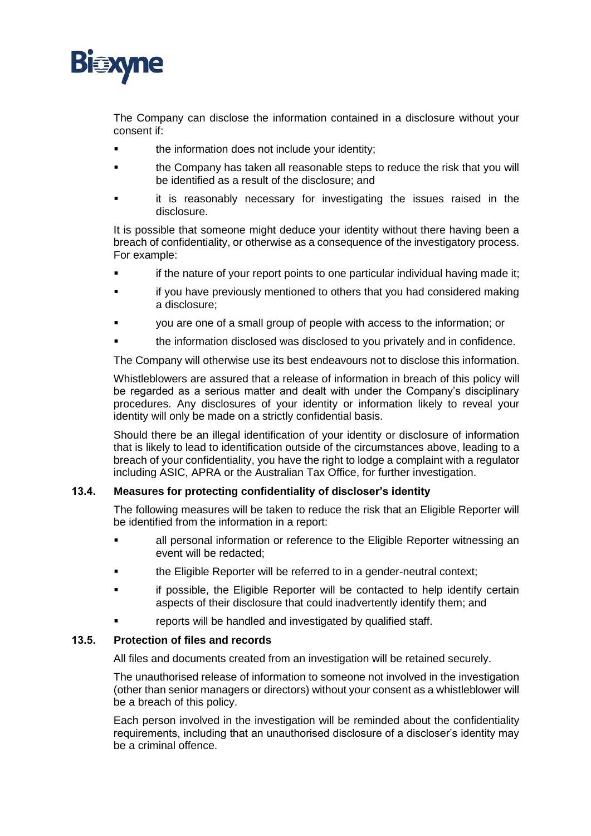

The Company can disclose the information contained in a disclosure without your consent if:

- the information does not include your identity;
- the Company has taken all reasonable steps to reduce the risk that you will be identified as a result of the disclosure; and
- it is reasonably necessary for investigating the issues raised in the disclosure.

It is possible that someone might deduce your identity without there having been a breach of confidentiality, or otherwise as a consequence of the investigatory process. For example:

- if the nature of your report points to one particular individual having made it;
- if you have previously mentioned to others that you had considered making a disclosure;
- you are one of a small group of people with access to the information; or
- the information disclosed was disclosed to you privately and in confidence.

The Company will otherwise use its best endeavours not to disclose this information.

Whistleblowers are assured that a release of information in breach of this policy will be regarded as a serious matter and dealt with under the Company's disciplinary procedures. Any disclosures of your identity or information likely to reveal your identity will only be made on a strictly confidential basis.

Should there be an illegal identification of your identity or disclosure of information that is likely to lead to identification outside of the circumstances above, leading to a breach of your confidentiality, you have the right to lodge a complaint with a regulator including ASIC, APRA or the Australian Tax Office, for further investigation.

#### **13.4. Measures for protecting confidentiality of discloser's identity**

The following measures will be taken to reduce the risk that an Eligible Reporter will be identified from the information in a report:

- all personal information or reference to the Eligible Reporter witnessing an event will be redacted;
- the Eligible Reporter will be referred to in a gender-neutral context;
- if possible, the Eligible Reporter will be contacted to help identify certain aspects of their disclosure that could inadvertently identify them; and
- reports will be handled and investigated by qualified staff.

#### **13.5. Protection of files and records**

All files and documents created from an investigation will be retained securely.

The unauthorised release of information to someone not involved in the investigation (other than senior managers or directors) without your consent as a whistleblower will be a breach of this policy.

Each person involved in the investigation will be reminded about the confidentiality requirements, including that an unauthorised disclosure of a discloser's identity may be a criminal offence.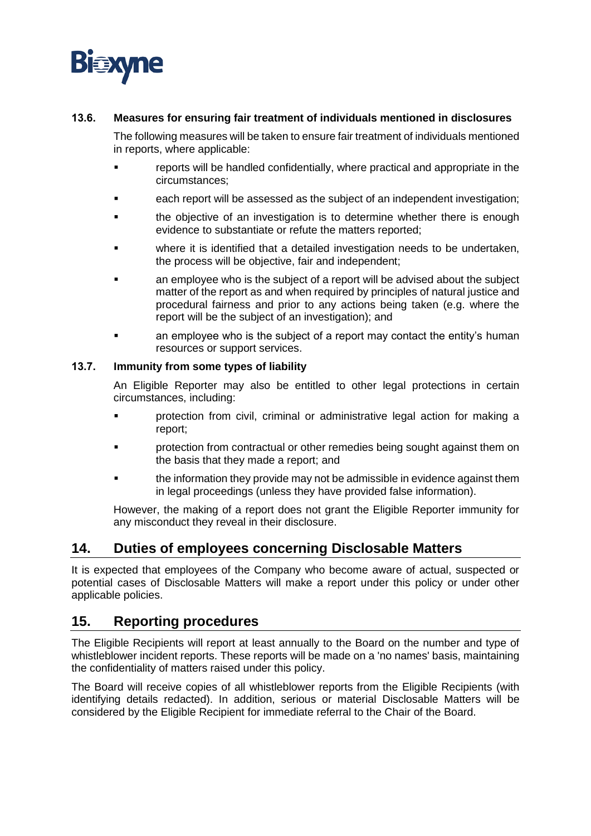

#### **13.6. Measures for ensuring fair treatment of individuals mentioned in disclosures**

The following measures will be taken to ensure fair treatment of individuals mentioned in reports, where applicable:

- reports will be handled confidentially, where practical and appropriate in the circumstances;
- each report will be assessed as the subject of an independent investigation;
- the objective of an investigation is to determine whether there is enough evidence to substantiate or refute the matters reported;
- where it is identified that a detailed investigation needs to be undertaken, the process will be objective, fair and independent;
- an employee who is the subject of a report will be advised about the subject matter of the report as and when required by principles of natural justice and procedural fairness and prior to any actions being taken (e.g. where the report will be the subject of an investigation); and
- an employee who is the subject of a report may contact the entity's human resources or support services.

#### **13.7. Immunity from some types of liability**

An Eligible Reporter may also be entitled to other legal protections in certain circumstances, including:

- protection from civil, criminal or administrative legal action for making a report;
- **•** protection from contractual or other remedies being sought against them on the basis that they made a report; and
- the information they provide may not be admissible in evidence against them in legal proceedings (unless they have provided false information).

However, the making of a report does not grant the Eligible Reporter immunity for any misconduct they reveal in their disclosure.

#### **14. Duties of employees concerning Disclosable Matters**

It is expected that employees of the Company who become aware of actual, suspected or potential cases of Disclosable Matters will make a report under this policy or under other applicable policies.

#### **15. Reporting procedures**

The Eligible Recipients will report at least annually to the Board on the number and type of whistleblower incident reports. These reports will be made on a 'no names' basis, maintaining the confidentiality of matters raised under this policy.

The Board will receive copies of all whistleblower reports from the Eligible Recipients (with identifying details redacted). In addition, serious or material Disclosable Matters will be considered by the Eligible Recipient for immediate referral to the Chair of the Board.